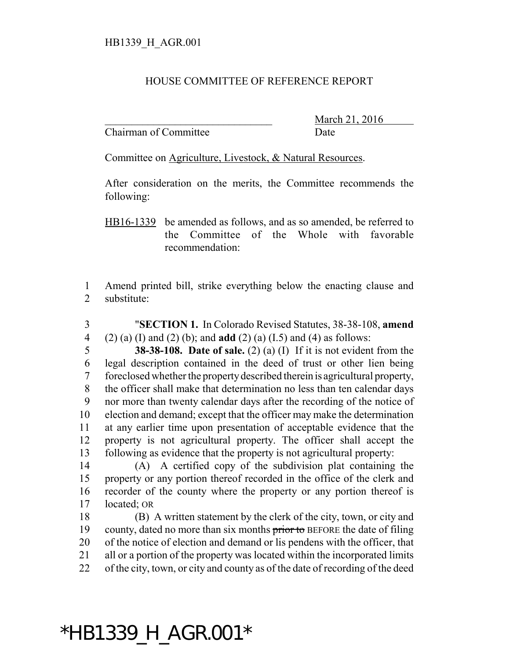## HOUSE COMMITTEE OF REFERENCE REPORT

Chairman of Committee Date

March 21, 2016

Committee on Agriculture, Livestock, & Natural Resources.

After consideration on the merits, the Committee recommends the following:

HB16-1339 be amended as follows, and as so amended, be referred to the Committee of the Whole with favorable recommendation:

 Amend printed bill, strike everything below the enacting clause and substitute:

 "**SECTION 1.** In Colorado Revised Statutes, 38-38-108, **amend** (2) (a) (I) and (2) (b); and **add** (2) (a) (I.5) and (4) as follows: **38-38-108. Date of sale.** (2) (a) (I) If it is not evident from the legal description contained in the deed of trust or other lien being foreclosed whether the property described therein is agricultural property, the officer shall make that determination no less than ten calendar days nor more than twenty calendar days after the recording of the notice of election and demand; except that the officer may make the determination at any earlier time upon presentation of acceptable evidence that the property is not agricultural property. The officer shall accept the following as evidence that the property is not agricultural property:

 (A) A certified copy of the subdivision plat containing the property or any portion thereof recorded in the office of the clerk and recorder of the county where the property or any portion thereof is located; OR

 (B) A written statement by the clerk of the city, town, or city and 19 county, dated no more than six months prior to BEFORE the date of filing of the notice of election and demand or lis pendens with the officer, that all or a portion of the property was located within the incorporated limits of the city, town, or city and county as of the date of recording of the deed

## \*HB1339\_H\_AGR.001\*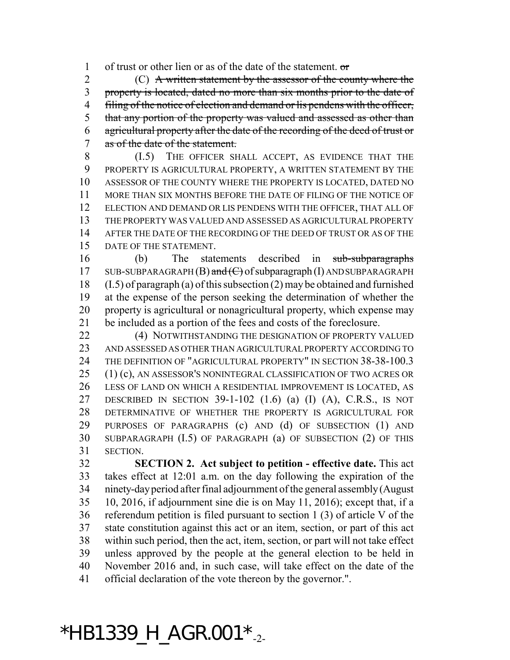of trust or other lien or as of the date of the statement. or

 (C) A written statement by the assessor of the county where the property is located, dated no more than six months prior to the date of 4 filing of the notice of election and demand or lis pendens with the officer, 5 that any portion of the property was valued and assessed as other than agricultural property after the date of the recording of the deed of trust or as of the date of the statement.

 (I.5) THE OFFICER SHALL ACCEPT, AS EVIDENCE THAT THE PROPERTY IS AGRICULTURAL PROPERTY, A WRITTEN STATEMENT BY THE ASSESSOR OF THE COUNTY WHERE THE PROPERTY IS LOCATED, DATED NO MORE THAN SIX MONTHS BEFORE THE DATE OF FILING OF THE NOTICE OF ELECTION AND DEMAND OR LIS PENDENS WITH THE OFFICER, THAT ALL OF THE PROPERTY WAS VALUED AND ASSESSED AS AGRICULTURAL PROPERTY AFTER THE DATE OF THE RECORDING OF THE DEED OF TRUST OR AS OF THE DATE OF THE STATEMENT.

 (b) The statements described in sub-subparagraphs 17 SUB-SUBPARAGRAPH  $(B)$  and  $(C)$  of subparagraph  $(I)$  AND SUBPARAGRAPH (I.5) of paragraph (a) of this subsection (2) may be obtained and furnished at the expense of the person seeking the determination of whether the property is agricultural or nonagricultural property, which expense may be included as a portion of the fees and costs of the foreclosure.

**(4) NOTWITHSTANDING THE DESIGNATION OF PROPERTY VALUED**  AND ASSESSED AS OTHER THAN AGRICULTURAL PROPERTY ACCORDING TO THE DEFINITION OF "AGRICULTURAL PROPERTY" IN SECTION 38-38-100.3 (1) (c), AN ASSESSOR'S NONINTEGRAL CLASSIFICATION OF TWO ACRES OR LESS OF LAND ON WHICH A RESIDENTIAL IMPROVEMENT IS LOCATED, AS DESCRIBED IN SECTION 39-1-102 (1.6) (a) (I) (A), C.R.S., IS NOT DETERMINATIVE OF WHETHER THE PROPERTY IS AGRICULTURAL FOR PURPOSES OF PARAGRAPHS (c) AND (d) OF SUBSECTION (1) AND SUBPARAGRAPH (I.5) OF PARAGRAPH (a) OF SUBSECTION (2) OF THIS SECTION.

 **SECTION 2. Act subject to petition - effective date.** This act takes effect at 12:01 a.m. on the day following the expiration of the ninety-day period after final adjournment of the general assembly (August 10, 2016, if adjournment sine die is on May 11, 2016); except that, if a referendum petition is filed pursuant to section 1 (3) of article V of the state constitution against this act or an item, section, or part of this act within such period, then the act, item, section, or part will not take effect unless approved by the people at the general election to be held in November 2016 and, in such case, will take effect on the date of the official declaration of the vote thereon by the governor.".

## $*$ HB1339\_H\_AGR.001 $*_{-2}$